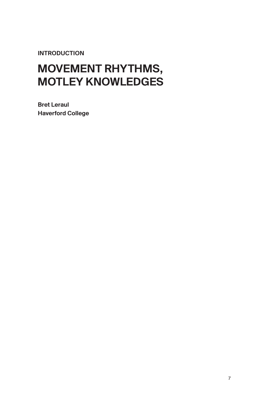INTRODUCTION

## MOVEMENT RHYTHMS, MOTLEY KNOWLEDGES

Bret Leraul Haverford College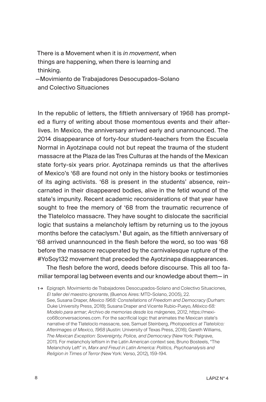There is a Movement when it is *in movement*, when things are happening, when there is learning and thinking.

—Movimiento de Trabajadores Desocupados-Solano and Colectivo Situaciones

In the republic of letters, the fiftieth anniversary of 1968 has prompted a flurry of writing about those momentous events and their afterlives. In Mexico, the anniversary arrived early and unannounced. The 2014 disappearance of forty-four student-teachers from the Escuela Normal in Ayotzinapa could not but repeat the trauma of the student massacre at the Plaza de las Tres Culturas at the hands of the Mexican state forty-six years prior. Ayotzinapa reminds us that the afterlives of Mexico's '68 are found not only in the history books or testimonies of its aging activists. '68 is present in the students' absence, reincarnated in their disappeared bodies, alive in the fetid wound of the state's impunity. Recent academic reconsiderations of that year have sought to free the memory of '68 from the traumatic recurrence of the Tlatelolco massacre. They have sought to dislocate the sacrificial logic that sustains a melancholy leftism by returning us to the joyous months before the cataclysm.<sup>1</sup> But again, as the fiftieth anniversary of '68 arrived unannounced in the flesh before the word, so too was '68 before the massacre recuperated by the carnivalesque rupture of the #YoSoy132 movement that preceded the Ayotzinapa disappearances.

The flesh before the word, deeds before discourse. This all too familiar temporal lag between events and our knowledge about them— in

1 → Epigraph. Movimiento de Trabajadores Desocupados-Solano and Colectivo Situaciones, *El taller del maestro ignorante*, (Buenos Aires: MTD-Solano, 2005), 22. See, Susana Draper, *Mexico 1968: Constellations of Freedom and Democracy* (Durham: Duke University Press, 2018); Susana Draper and Vicente Rubio-Pueyo, *México 68: Modelo para armar; Archivo de memorias desde los márgenes*, 2012, https://mexico68conversaciones.com. For the sacrificial logic that animates the Mexican state's narrative of the Tlateloclo massacre, see, Samuel Steinberg, *Photopoetics at Tlatelolco: Afterimages of Mexico, 1968* (Austin: University of Texas Press, 2016); Gareth Williams, *The Mexican Exception: Sovereignty, Police, and Democracy* (New York: Palgrave, 2011). For melancholy leftism in the Latin American context see, Bruno Bosteels, "The Melancholy Left" in, *Marx and Freud in Latin America: Politics, Psychoanalysis and Religion in Times of Terror* (New York: Verso, 2012), 159-194.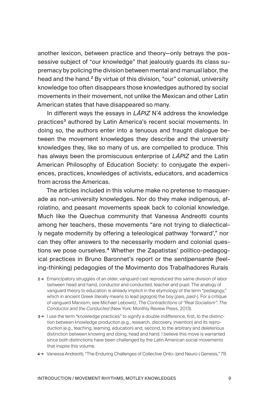another lexicon, between practice and theory—only betrays the possessive subject of "our knowledge" that jealously guards its class supremacy by policing the division between mental and manual labor, the head and the hand.<sup>2</sup> By virtue of this division, "our" colonial, university knowledge too often disappears those knowledges authored by social movements in their movement, not unlike the Mexican and other Latin American states that have disappeared so many.

In different ways the essays in *LÁPIZ* N˚4 address the knowledge practices<sup>3</sup> authored by Latin America's recent social movements. In doing so, the authors enter into a tenuous and fraught dialogue between the movement knowledges they describe and the university knowledges they, like so many of us, are compelled to produce. This has always been the promiscuous enterprise of *LÁPIZ* and the Latin American Philosophy of Education Society: to conjugate the experiences, practices, knowledges of activists, educators, and academics from across the Americas.

The articles included in this volume make no pretense to masquerade as non-university knowledges. Nor do they make indigenous, afrolatino, and peasant movements speak back to colonial knowledge. Much like the Quechua community that Vanessa Andreotti counts among her teachers, these movements "are not trying to dialectically negate modernity by offering a teleological pathway 'forward'," nor can they offer answers to the necessarily modern and colonial questions we pose ourselves.4 Whether the Zapatistas' politico-pedagogical practices in Bruno Baronnet's report or the *sentipensante* (feeling-thinking) pedagogies of the Movimento dos Trabalhadores Rurais

- 2 → Emancipatory struggles of an older, vanguard cast reproduced this same division of labor between head and hand, conductor and conducted, teacher and pupil. The analogy of vanguard theory to education is already implicit in the etymology of the term "pedagogy," which in ancient Greek literally means to lead (*agogos*) the boy (*pais*, *paid-*). For a critique of vanguard Marxism, see Michael Lebowitz, *The Contradictions of "Real Socialism": The Conductor and the Conducted* (New York: Monthly Review Press, 2013).
- 3 → I use the term "knowledge practices" to signify a double indifference, first, to the distinction between knowledge production (e.g., research, discovery, invention) and its reproduction (e.g., teaching, learning, education) and, second, to the arbitrary and deleterious distinction between knowing and doing, head and hand. I believe this move is warranted since both distinctions have been challenged by the Latin American social movements that inspire this volume.
- 4 → Vanessa Andreotti, "The Enduring Challenges of Collective Onto- (and Neuro-) Genesis," 78.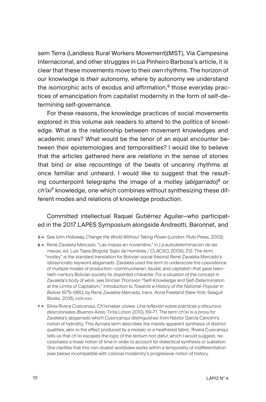sem Terra (Landless Rural Workers Movement)(MST), Vía Campesina Internacional, and other struggles in Lia Pinheiro Barbosa's article, it is clear that these movements move to their own rhythms. The horizon of *our* knowledge is *their* autonomy, where by autonomy we understand the isomorphic acts of exodus and affirmation,<sup>5</sup> those everyday practices of emancipation from capitalist modernity in the form of self-determining self-governance.

For these reasons, the knowledge practices of social movements explored in this volume ask readers to attend to the politics of knowledge. What is the relationship between movement knowledges and academic ones? What would be the tenor of an equal encounter between their epistemologies and temporalities? I would like to believe that the articles gathered here are *relations* in the sense of stories that bind or else *recountings* of the beats of uncanny rhythms at once familiar and unheard. I would like to suggest that the resulting counterpoint telegraphs the image of a motley (*abigarrado*) <sup>6</sup> or *ch'ixi*<sup>7</sup> knowledge, one which combines without synthesizing these different modes and relations of knowledge production.

## Committed intellectual Raquel Gutiérrez Aguilar—who participated in the 2017 LAPES Symposium alongside Andreotti, Baronnet, and

- 5 → See John Holloway, *Change the World Without Taking Power* (London: Pluto Press, 2002).
- 6 → René Zavaleta Mercado, "Las masas en noviembre," in *La autodeterminación de las masas*, ed. Luis Tapia (Bogotá: Siglo de Hombres / CLACSO, 2009), 212. The term "motley" is the standard translation for Bolivian social theorist René Zavaleta Mercado's idiosyncratic keyword *abigarrado*. Zavaleta used the term to underscore the coexistence of multiple modes of production—communitarian, feudal, and capitalist—that gave twentieth-century Bolivian society its disjointed character. For a situation of the concept in Zavaleta's body of work, see Sinclair Thomson "Self-Knowledge and Self-Determination at the Limits of Capitalism," introduction to *Towards a History of the National-Popular in Bolivia 1879-1980,* by René Zavaleta Mercado, trans. Anne Freeland (New York: Seagull Books, 2018), xxiii-xxv.
- 7 → Silvia Rivera Cusicanqui, *Ch'ixinakax utxiwa. Una reflexión sobre prácticas y discursos descoloniales* (Buenos Aires: Tinta Limon 2010), 69-71. The term *ch'ixi* is a proxy for Zavaleta's *abigarrado* which Cusincanqui distinguishes from Néstor García Canclini's notion of hybridity. This Aymara term describes the merely apparent synthesis of distinct qualities, akin to the effect produced by a mosaic or a heathered fabric. Rivera Cusicanqui tells us that *ch'ixi* escapes the logic of the *tertium non datur*, which I would suggest, necessitates a linear notion of time in order to account for dialectical synthesis or sublation. She clarifies that this non-dualist worldview works within a temporality of indifferentiation (see below) incompatible with colonial modernity's progressive notion of history.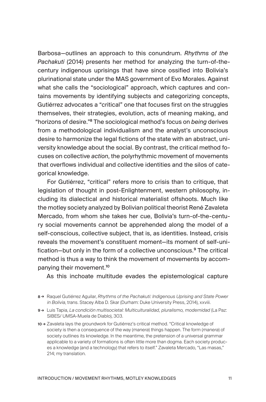Barbosa—outlines an approach to this conundrum. *Rhythms of the Pachakuti* (2014) presents her method for analyzing the turn-of-thecentury indigenous uprisings that have since ossified into Bolivia's plurinational state under the MAS government of Evo Morales. Against what she calls the "sociological" approach, which captures and contains movements by identifying subjects and categorizing concepts, Gutiérrez advocates a "critical" one that focuses first on the struggles themselves, their strategies, evolution, acts of meaning making, and "horizons of desire."<sup>8</sup> The sociological method's focus on *being* derives from a methodological individualism and the analyst's unconscious desire to harmonize the legal fictions of the state with an abstract, university knowledge about the social. By contrast, the critical method focuses on collective *action*, the polyrhythmic movement of movements that overflows individual and collective identities and the silos of categorical knowledge.

For Gutiérrez, "critical" refers more to crisis than to critique, that legislation of thought in post-Enlightenment, western philosophy, including its dialectical and historical materialist offshoots. Much like the motley society analyzed by Bolivian political theorist René Zavaleta Mercado, from whom she takes her cue, Bolivia's turn-of-the-century social movements cannot be apprehended along the model of a self-conscious, collective subject, that is, as identities. Instead, crisis reveals the movement's constituent moment—its moment of self-unification—but only in the form of a collective unconscious.<sup>9</sup> The critical method is thus a way to think the movement of movements by accompanying their movement.<sup>10</sup>

As this inchoate multitude evades the epistemological capture

<sup>8</sup> → Raquel Gutiérrez Aguilar, *Rhythms of the Pachakuti: Indigenous Uprising and State Power in Bolivia*, trans. Stacey Alba D. Skar (Durham: Duke University Press, 2014), xxviii.

<sup>9</sup> → Luis Tapia, *La condición multisocietal: Multiculturalidad, pluralismo, modernidad* (La Paz: SIBES/ UMSA-Muela de Diablo), 303.

<sup>10 →</sup> Zavaleta lays the groundwork for Gutiérrez's critical method. "Critical knowledge of society is then a consequence of the way (*manera*) things happen. The form (*manera*) of society outlines its knowledge. In the meantime, the pretension of a universal grammar applicable to a variety of formations is often little more than dogma. Each society produces a knowledge (and a technology) that refers to itself." Zavaleta Mercado, "Las masas," 214; my translation.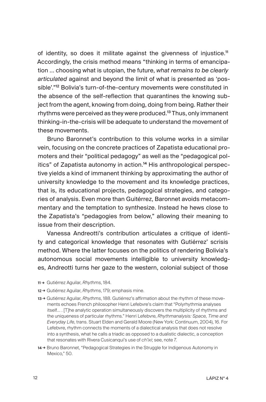of identity, so does it militate against the givenness of injustice.<sup>11</sup> Accordingly, the crisis method means "thinking in terms of emancipation … choosing what is utopian, the future, *what remains to be clearly articulated* against and beyond the limit of what is presented as 'possible'."<sup>12</sup> Bolivia's turn-of-the-century movements were constituted in the absence of the self-reflection that quarantines the knowing subject from the agent, knowing from doing, doing from being. Rather their rhythms were perceived as they were produced.<sup>13</sup> Thus, only immanent thinking-in-the-crisis will be adequate to understand the movement of these movements.

Bruno Baronnet's contribution to this volume works in a similar vein, focusing on the concrete practices of Zapatista educational promoters and their "political pedagogy" as well as the "pedagogical politics" of Zapatista autonomy in action.<sup>14</sup> His anthropological perspective yields a kind of immanent thinking by approximating the author of university knowledge to the movement and its knowledge practices, that is, its educational projects, pedagogical strategies, and categories of analysis. Even more than Guitérrez, Baronnet avoids metacommentary and the temptation to synthesize. Instead he hews close to the Zapatista's "pedagogies from below," allowing their meaning to issue from their description.

Vanessa Andreotti's contribution articulates a critique of identity and categorical knowledge that resonates with Gutiérrez' scrisis method. Where the latter focuses on the politics of rendering Bolivia's autonomous social movements intelligible to university knowledges, Andreotti turns her gaze to the western, colonial subject of those

- 11 → Gutiérrez Aguilar, *Rhythms*, 184.
- 12 → Gutiérrez Aguilar, *Rhythms*, 179; emphasis mine.
- 13 → Gutiérrez Aguilar, *Rhythms*, 188. Gutiérrez's affirmation about the rhythm of these movements echoes French philosopher Henri Lefebvre's claim that "Polyrhythmia analyses itself… . [T]he analytic operation simultaneously discovers the multiplicity of rhythms and the uniqueness of particular rhythms." Henri Lefebvre, *Rhythmanalysis: Space, Time and Everyday Life*, trans. Stuart Elden and Gerald Moore (New York: Continuum, 2004), 16. For Lefebvre, rhythm connects the moments of a dialectical analysis that does not resolve into a synthesis, what he calls a triadic as opposed to a dualistic dialectic, a conception that resonates with Rivera Cusicanqui's use of *ch'ixi*; see, note 7.
- 14 → Bruno Baronnet, "Pedagogical Strategies in the Struggle for Indigenous Autonomy in Mexico," 50.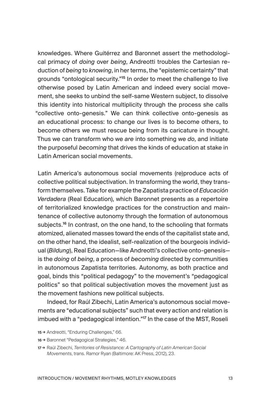knowledges. Where Guitérrez and Baronnet assert the methodological primacy of *doing* over *being*, Andreotti troubles the Cartesian reduction of *being* to *knowing*, in her terms, the "epistemic certainty" that grounds "ontological security."<sup>15</sup> In order to meet the challenge to live otherwise posed by Latin American and indeed every social movement, she seeks to unbind the self-same Western subject, to dissolve this identity into historical multiplicity through the process she calls "collective onto-genesis." We can think collective onto-genesis as an educational process: to change our lives is to become others, to become others we must rescue being from its caricature in thought. Thus we can transform who we *are* into something we *do*, and initiate the purposeful *becoming* that drives the kinds of education at stake in Latin American social movements.

Latin America's autonomous social movements (re)produce acts of collective political subjectivation. In transforming the world, they transform themselves. Take for example the Zapatista practice of *Educación Verdadera* (Real Education), which Baronnet presents as a repertoire of territorialized knowledge practices for the construction and maintenance of collective autonomy through the formation of autonomous subjects.<sup>16</sup> In contrast, on the one hand, to the schooling that formats atomized, alienated masses toward the ends of the capitalist state and, on the other hand, the idealist, self-realization of the bourgeois individual (*Bildung*), Real Education—like Andreotti's collective onto-genesis is the *doing* of *being*, a process of *becoming* directed by communities in autonomous Zapatista territories. Autonomy, as both practice and goal, binds this "political pedagogy" to the movement's "pedagogical politics" so that political subjectivation moves the movement just as the movement fashions new political subjects.

Indeed, for Raúl Zibechi, Latin America's autonomous social movements are "educational subjects" such that every action and relation is imbued with a "pedagogical intention."<sup>17</sup> In the case of the MST, Roseli

- 15 → Andreotti, "Enduring Challenges," 66.
- 16 → Baronnet "Pedagogical Strategies," 46.

<sup>17</sup> → Raúl Zibechi, *Territories of Resistance: A Cartography of Latin American Social Movements*, trans. Ramor Ryan (Baltimore: AK Press, 2012), 23.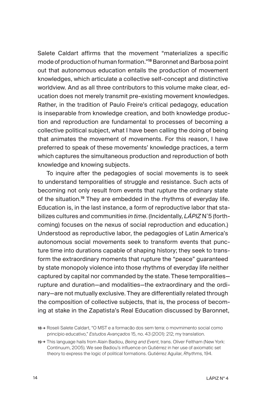Salete Caldart affirms that the movement "materializes a specific mode of production of human formation."<sup>18</sup> Baronnet and Barbosa point out that autonomous education entails the production of movement knowledges, which articulate a collective self-concept and distinctive worldview. And as all three contributors to this volume make clear, education does not merely transmit pre-existing movement knowledges. Rather, in the tradition of Paulo Freire's critical pedagogy, education is inseparable from knowledge creation, and both knowledge production and reproduction are fundamental to processes of becoming a collective political subject, what I have been calling the doing of being that animates the movement of movements. For this reason, I have preferred to speak of these movements' knowledge practices, a term which captures the simultaneous production and reproduction of both knowledge and knowing subjects.

To inquire after the pedagogies of social movements is to seek to understand temporalities of struggle and resistance. Such acts of becoming not only result from events that rupture the ordinary state of the situation.<sup>19</sup> They are embedded in the rhythms of everyday life. Education is, in the last instance, a form of reproductive labor that stabilizes cultures and communities *in time*. (Incidentally, *LÁPIZ* N˚5 (forthcoming) focuses on the nexus of social reproduction and education.) Understood as reproductive labor, the pedagogies of Latin America's autonomous social movements seek to transform events that puncture time into durations capable of shaping history; they seek to transform the extraordinary moments that rupture the "peace" guaranteed by state monopoly violence into those rhythms of everyday life neither captured by capital nor commanded by the state. These temporalities rupture and duration—and modalities—the extraordinary and the ordinary—are not mutually exclusive. They are differentially related through the composition of collective subjects, that is, the process of becoming at stake in the Zapatista's Real Education discussed by Baronnet,

<sup>18</sup> → Roseli Salete Caldart, "O MST e a formacão dos sem terra: o movmimento social como princípio educativo," *Estudos Avançados* 15, no. 43 (2001): 212; my translation.

<sup>19</sup> → This language hails from Alain Badiou, *Being and Event*, trans. Oliver Feltham (New York: Continuum, 2005). We see Badiou's influence on Gutiérrez in her use of axiomatic set theory to express the logic of political formations. Gutiérrez Aguilar, *Rhythms*, 194.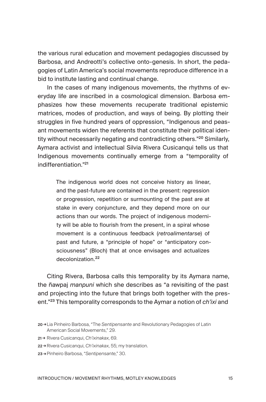the various rural education and movement pedagogies discussed by Barbosa, and Andreotti's collective onto-genesis. In short, the pedagogies of Latin America's social movements reproduce difference in a bid to institute lasting and continual change.

In the cases of many indigenous movements, the rhythms of everyday life are inscribed in a cosmological dimension. Barbosa emphasizes how these movements recuperate traditional epistemic matrices, modes of production, and ways of being. By plotting their struggles in five hundred years of oppression, "Indigenous and peasant movements widen the referents that constitute their political identity without necessarily negating and contradicting others."<sup>20</sup> Similarly, Aymara activist and intellectual Silvia Rivera Cusicanqui tells us that Indigenous movements continually emerge from a "temporality of indifferentiation<sup>"21</sup>

The indigenous world does not conceive history as linear, and the past-future are contained in the present: regression or progression, repetition or surmounting of the past are at stake in every conjuncture, and they depend more on our actions than our words. The project of indigenous modernity will be able to flourish from the present, in a spiral whose movement is a continuous feedback (*retroalimentarse*) of past and future, a "principle of hope" or "anticipatory consciousness" (Bloch) that at once envisages and actualizes decolonization.<sup>22</sup>

Citing Rivera, Barbosa calls this temporality by its Aymara name, the ñawpaj *manpuni* which she describes as "a revisiting of the past and projecting into the future that brings both together with the present."<sup>23</sup> This temporality corresponds to the Aymar a notion of *ch'ixi* and

- 21 → Rivera Cusicanqui, *Ch'ixinakax*, 69.
- 22 → Rivera Cusicanqui, *Ch'ixinakax*, 55; my translation.
- 23 → Pinheiro Barbosa, "*Sentipensante*," 30.

<sup>20</sup> →Lia Pinheiro Barbosa, "The *Sentipensante* and Revolutionary Pedagogies of Latin American Social Movements," 29.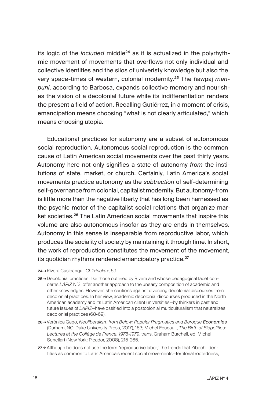its logic of the *included* middle<sup>24</sup> as it is actualized in the polyrhythmic movement of movements that overflows not only individual and collective identities and the silos of univeristy knowledge but also the very space-times of western, colonial modernity.25 The ñawpaj *manpuni*, according to Barbosa, expands collective memory and nourishes the vision of a decolonial future while its indifferentiation renders the present a field of action. Recalling Gutiérrez, in a moment of crisis, emancipation means choosing "what is not clearly articulated," which means choosing utopia.

Educational practices for autonomy are a subset of autonomous social reproduction. Autonomous social reproduction is the common cause of Latin American social movements over the past thirty years. Autonomy here not only signifies a state of autonomy *from* the institutions of state, market, or church. Certainly, Latin America's social movements practice autonomy as the *subtraction* of self-determining self-governance from colonial, capitalist modernity. But autonomy-from is little more than the negative liberty that has long been harnessed as the psychic motor of the capitalist social relations that organize market societies.<sup>26</sup> The Latin American social movements that inspire this volume are also autonomous insofar as they are ends in themselves. Autonomy in this sense is inseparable from reproductive labor, which produces the sociality of society by maintaining it through time. In short, the work of reproduction constitutes the movement of the movement, its quotidian rhythms rendered emancipatory practice.<sup>27</sup>

- 24 →Rivera Cusicanqui, *Ch'ixinakax*, 69.
- 25 → Decolonial practices, like those outlined by Rivera and whose pedagogical facet concerns *LÁPIZ* N˚3, offer another approach to the uneasy composition of academic and other knowledges. However, she cautions against divorcing decolonial discourses from decolonial practices. In her view, academic decolonial discourses produced in the North American academy and its Latin American client universities—by thinkers in past and future issues of *LÁPIZ*—have ossified into a postcolonial multiculturalism that neutralizes decolonial practices (68-69).
- 26 →Verónica Gago, *Neoliberalism from Below: Popular Pragmatics and Baroque Economies* (Durham, NC: Duke University Press, 2017), 163; Michel Foucault, *The Birth of Biopolitics: Lectures at the Collège de France, 1978-1979*, trans. Graham Burchell, ed. Michel Senellart (New York: Picador, 2008), 215-265.
- 27→ Although he does not use the term "reproductive labor," the trends that Zibechi identifies as common to Latin America's recent social movements—territorial rootedness,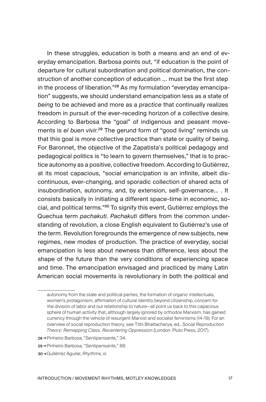In these struggles, education is both a means and an end of everyday emancipation. Barbosa points out, "if education is the point of departure for cultural subordination and political domination, the construction of another conception of education … must be the first step in the process of liberation."28 As my formulation "everyday emancipation" suggests, we should understand emancipation less as a state of *being* to be achieved and more as a *practice* that continually realizes freedom in pursuit of the ever-receding horizon of a collective desire. According to Barbosa the "goal" of indigenous and peasant movements is *el buen vivir*. <sup>29</sup> The gerund form of "good living" reminds us that this goal is more collective practice than state or quality of being. For Baronnet, the objective of the Zapatista's political pedagogy and pedagogical politics is "to learn to govern themselves," that is to practice autonomy as a positive, collective freedom. According to Gutiérrez, at its most capacious, "social emancipation is an infinite, albeit discontinuous, ever-changing, and sporadic collection of shared acts of insubordination, autonomy, and, by extension, self-governance… . It consists basically in initiating a different space-time in economic, social, and political terms."<sup>30</sup> To signify this event, Gutiérrez employs the Quechua term *pachakuti*. *Pachakuti* differs from the common understanding of revolution, a close English equivalent to Gutiérrez's use of the term. Revolution foregrounds the emergence of new subjects, new regimes, new modes of production. The practice of everyday, social emancipation is less about newness than difference, less about the shape of the future than the very conditions of experiencing space and time. The emancipation envisaged and practiced by many Latin American social movements is revolutionary in both the political and

autonomy from the state and political parties, the formation of organic intellectuals, women's protagonism, affirmation of cultural identity beyond citizenship, concern for the division of labor and our relationship to nature—all point us back to this capacious sphere of human activity that, although largely ignored by orthodox Marxism, has gained currency through the vehicle of resurgent Marxist and socialist feminisms (14-19). For an overview of social reproduction theory, see Tithi Bhattacharya, ed., *Social Reproduction Theory: Remapping Class, Recentering Oppression* (London: Pluto Press, 2017).

<sup>28</sup> →Pinheiro Barbosa, "*Sentipensante,*" 34.

<sup>29</sup> →Pinheiro Barbosa, "*Sentipensante,*" 88.

<sup>30</sup> →Guitérrez Aguilar, *Rhythms*, xl.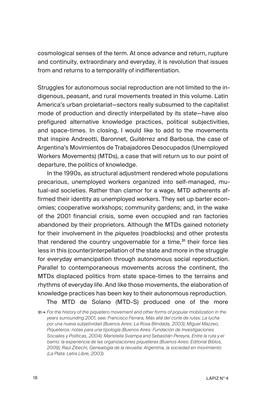cosmological senses of the term. At once advance and return, rupture and continuity, extraordinary and everyday, it is revolution that issues from and returns to a temporality of indifferentiation.

Struggles for autonomous social reproduction are not limited to the indigenous, peasant, and rural movements treated in this volume. Latin America's urban proletariat—sectors really subsumed to the capitalist mode of production and directly interpellated by its state—have also prefigured alternative knowledge practices, political subjectivities, and space-times. In closing, I would like to add to the movements that inspire Andreotti, Baronnet, Guitérrez and Barbosa, the case of Argentina's Movimientos de Trabajadores Desocupados (Unemployed Workers Movements) (MTDs), a case that will return us to our point of departure, the politics of knowledge.

In the 1990s, as structural adjustment rendered whole populations precarious, unemployed workers organized into self-managed, mutual-aid societies. Rather than clamor for a wage, MTD adherents affirmed their identity as unemployed workers. They set up barter economies; cooperative workshops; community gardens; and, in the wake of the 2001 financial crisis, some even occupied and ran factories abandoned by their proprietors. Although the MTDs gained notoriety for their involvement in the *piquetes* (roadblocks) and other protests that rendered the country ungovernable for a time, $31$  their force lies less in this (counter)interpellation of the state and more in the struggle for everyday emancipation through autonomous social reproduction. Parallel to contemporaneous movements across the continent, the MTDs displaced politics from state space-times to the terrains and rhythms of everyday life. And like those movements, the elaboration of knowledge practices has been key to their autonomous reproduction.

The MTD de Solano (MTD-S) produced one of the more

<sup>31</sup> → *For the history of the piquetero movement and other forms of popular mobilization in the years surrounding 2001, see: Francisco Ferrara, Más allá del corte de rutas: La lucha por una nueva subjetividad (Buenos Aires: La Rosa Blindada, 2003); Miguel Mazzeo, Piqueteros: notas para una tipología (Buenos Aires: Fundación de Investigaciones Sociales y Políticas, 2004); Maristella Svampa and Sebastián Pereyra, Entre la ruta y el barrio: la experiencia de las organizaciones piqueteras (Buenos Aires: Editorial Biblos, 2009); Raúl Zibechi, Genealogia de la revuelta: Argentina, la sociedad en movimiento (La Plata: Letra Libre, 2003)*.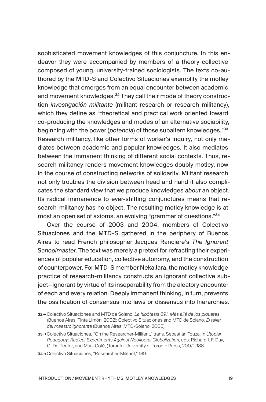sophisticated movement knowledges of this conjuncture. In this endeavor they were accompanied by members of a theory collective composed of young, university-trained sociologists. The texts co-authored by the MTD-S and Colectivo Situaciones exemplify the motley knowledge that emerges from an equal encounter between academic and movement knowledges.<sup>32</sup> They call their mode of theory construction *investigación militante* (militant research or research-militancy), which they define as "theoretical and practical work oriented toward co-producing the knowledges and modes of an alternative sociability, beginning with the power (*potencia*) of those subaltern knowledges."<sup>33</sup> Research militancy, like other forms of worker's inquiry, not only mediates between academic and popular knowledges. It also mediates between the immanent thinking of different social contexts. Thus, research militancy renders movement knowledges doubly motley, now in the course of constructing networks of solidarity. Militant research not only troubles the division between head and hand it also complicates the standard view that we produce knowledges *about* an object. Its radical immanence to ever-shifting conjunctures means that research-militancy has no object. The resulting motley knowledge is at most an open set of axioms, an evolving "grammar of questions."<sup>34</sup>

Over the course of 2003 and 2004, members of Colectivo Situaciones and the MTD-S gathered in the periphery of Buenos Aires to read French philosopher Jacques Rancière's *The Ignorant Schoolmaster*. The text was merely a pretext for refracting their experiences of popular education, collective autonomy, and the construction of counterpower. For MTD-S member Neka Jara, the motley knowledge practice of research-militancy constructs an ignorant collective subject—ignorant by virtue of its inseparability from the aleatory encounter of each and every relation. Deeply immanent thinking, in turn, prevents the ossification of consensus into laws or dissensus into hierarchies.

- 33 →Colectivo Situaciones, "On the Researcher-Militant," trans. Sebastián Touza, in *Utopian Pedagogy: Radical Experiments Against Neoliberal Globalization*, eds. Richard J. F. Day, G. De Peuter, and Mark Coté, (Toronto: University of Toronto Press, 2007), 188.
- 34 →Colectivo Situaciones, "Researcher-Militant," 189.

<sup>32</sup> → Colectivo Situaciones and MTD de Solano, *La hipótesis 891. Más allá de los piquetes* (Buenos Aires: Tinta Limón, 2002); Colectivo Situaciones and MTD de Solano*, El taller del maestro ignorante* (Buenos Aires: MTD-Solano, 2005).